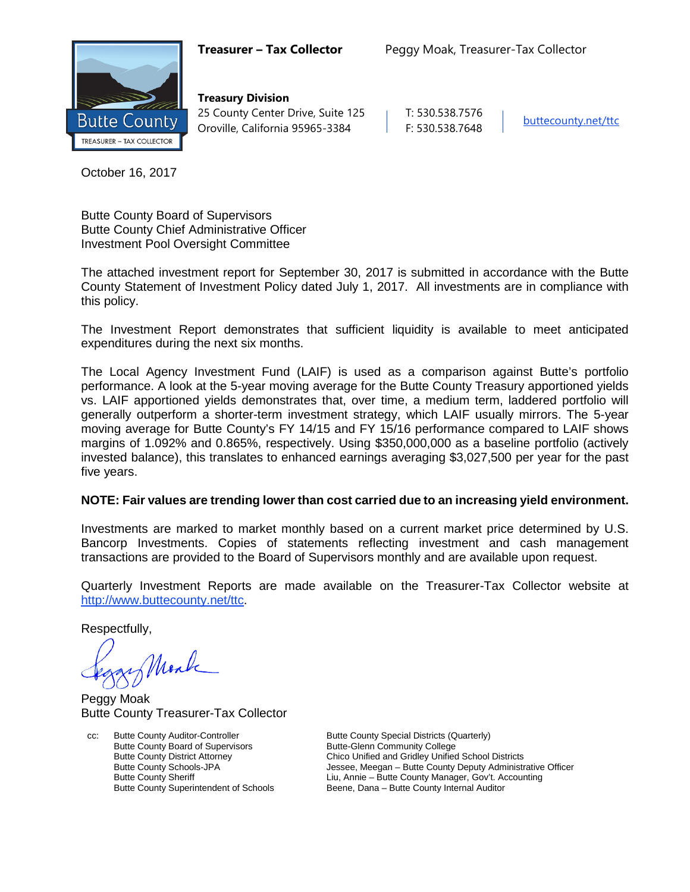

**Treasury Division** 25 County Center Drive, Suite 125 | T: 530.538.7576 Oroville, California 95965-3384 F: 530.538.7648 [buttecounty.net/t](http://www.buttecounty.net/administration)tc

October 16, 2017

Butte County Board of Supervisors Butte County Chief Administrative Officer Investment Pool Oversight Committee

The attached investment report for September 30, 2017 is submitted in accordance with the Butte County Statement of Investment Policy dated July 1, 2017. All investments are in compliance with this policy.

The Investment Report demonstrates that sufficient liquidity is available to meet anticipated expenditures during the next six months.

The Local Agency Investment Fund (LAIF) is used as a comparison against Butte's portfolio performance. A look at the 5-year moving average for the Butte County Treasury apportioned yields vs. LAIF apportioned yields demonstrates that, over time, a medium term, laddered portfolio will generally outperform a shorter-term investment strategy, which LAIF usually mirrors. The 5-year moving average for Butte County's FY 14/15 and FY 15/16 performance compared to LAIF shows margins of 1.092% and 0.865%, respectively. Using \$350,000,000 as a baseline portfolio (actively invested balance), this translates to enhanced earnings averaging \$3,027,500 per year for the past five years.

## **NOTE: Fair values are trending lower than cost carried due to an increasing yield environment.**

Investments are marked to market monthly based on a current market price determined by U.S. Bancorp Investments. Copies of statements reflecting investment and cash management transactions are provided to the Board of Supervisors monthly and are available upon request.

Quarterly Investment Reports are made available on the Treasurer-Tax Collector website at <http://www.buttecounty.net/ttc>.

Respectfully,

Monk

Peggy Moak Butte County Treasurer-Tax Collector

cc: Butte County Auditor-Controller Butte County Special Districts (Quarterly)<br>Butte County Board of Supervisors Butte-Glenn Community College Butte County Board of Supervisors

Butte County District Attorney **Chico Unified and Gridley Unified School Districts**<br>Butte County Schools-JPA **Chicage Schools** Jessee, Meegan – Butte County Deputy Administr Jessee, Meegan – Butte County Deputy Administrative Officer Butte County Sheriff **Liunty County Annie – Butte County Manager**, Gov't. Accounting Butte County Superintendent of Schools **Exercise Beene, Dana – Butte County Internal Auditor** Beene, Dana – Butte County Internal Auditor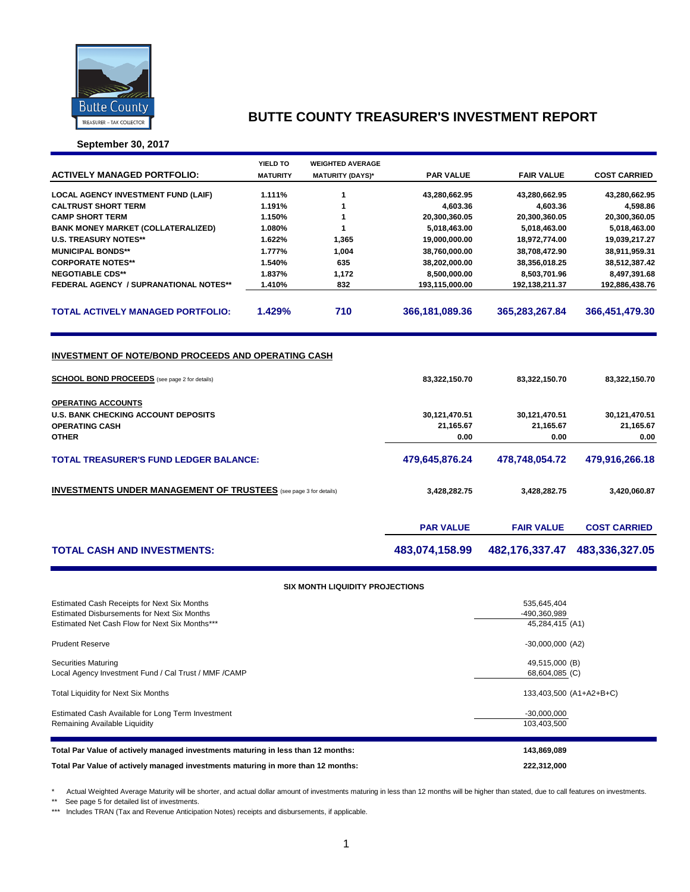

**September 30, 2017**

|                                                                                                                    | YIELD TO        | <b>WEIGHTED AVERAGE</b> |                  |                   |                     |
|--------------------------------------------------------------------------------------------------------------------|-----------------|-------------------------|------------------|-------------------|---------------------|
| <b>ACTIVELY MANAGED PORTFOLIO:</b>                                                                                 | <b>MATURITY</b> | <b>MATURITY (DAYS)*</b> | <b>PAR VALUE</b> | <b>FAIR VALUE</b> | <b>COST CARRIED</b> |
| <b>LOCAL AGENCY INVESTMENT FUND (LAIF)</b>                                                                         | 1.111%          | 1                       | 43,280,662.95    | 43,280,662.95     | 43,280,662.95       |
| <b>CALTRUST SHORT TERM</b>                                                                                         | 1.191%          | 1                       | 4,603.36         | 4,603.36          | 4,598.86            |
| <b>CAMP SHORT TERM</b>                                                                                             | 1.150%          | 1                       | 20,300,360.05    | 20,300,360.05     | 20,300,360.05       |
| <b>BANK MONEY MARKET (COLLATERALIZED)</b>                                                                          | 1.080%          | 1                       | 5,018,463.00     | 5,018,463.00      | 5,018,463.00        |
| <b>U.S. TREASURY NOTES**</b>                                                                                       | 1.622%          | 1,365                   | 19,000,000.00    | 18,972,774.00     | 19,039,217.27       |
| <b>MUNICIPAL BONDS**</b>                                                                                           | 1.777%          | 1,004                   | 38,760,000.00    | 38,708,472.90     | 38,911,959.31       |
| <b>CORPORATE NOTES**</b>                                                                                           | 1.540%          | 635                     | 38,202,000.00    | 38,356,018.25     | 38,512,387.42       |
| <b>NEGOTIABLE CDS**</b>                                                                                            | 1.837%          | 1,172                   | 8,500,000.00     | 8,503,701.96      | 8,497,391.68        |
| <b>FEDERAL AGENCY / SUPRANATIONAL NOTES**</b>                                                                      | 1.410%          | 832                     | 193,115,000.00   | 192,138,211.37    | 192,886,438.76      |
| <b>TOTAL ACTIVELY MANAGED PORTFOLIO:</b>                                                                           | 1.429%          | 710                     | 366,181,089.36   | 365,283,267.84    | 366,451,479.30      |
| <b>INVESTMENT OF NOTE/BOND PROCEEDS AND OPERATING CASH</b><br><b>SCHOOL BOND PROCEEDS</b> (see page 2 for details) |                 | 83,322,150.70           | 83,322,150.70    | 83,322,150.70     |                     |
| <b>OPERATING ACCOUNTS</b>                                                                                          |                 |                         |                  |                   |                     |
| <b>U.S. BANK CHECKING ACCOUNT DEPOSITS</b>                                                                         |                 |                         | 30,121,470.51    | 30,121,470.51     | 30,121,470.51       |
| <b>OPERATING CASH</b>                                                                                              |                 |                         | 21,165.67        | 21,165.67         | 21,165.67           |
| <b>OTHER</b>                                                                                                       |                 |                         | 0.00             | 0.00              | 0.00                |
| <b>TOTAL TREASURER'S FUND LEDGER BALANCE:</b>                                                                      |                 |                         | 479,645,876.24   | 478,748,054.72    | 479,916,266.18      |
| <b>INVESTMENTS UNDER MANAGEMENT OF TRUSTEES</b> (see page 3 for details)                                           |                 | 3,428,282.75            | 3,428,282.75     | 3,420,060.87      |                     |
|                                                                                                                    |                 |                         | <b>PAR VALUE</b> | <b>FAIR VALUE</b> | <b>COST CARRIED</b> |
| <b>TOTAL CASH AND INVESTMENTS:</b>                                                                                 |                 | 483,074,158.99          | 482,176,337.47   | 483,336,327.05    |                     |

#### **SIX MONTH LIQUIDITY PROJECTIONS**

| Estimated Cash Receipts for Next Six Months<br><b>Estimated Disbursements for Next Six Months</b><br>Estimated Net Cash Flow for Next Six Months*** | 535,645,404<br>-490,360,989<br>45,284,415 (A1) |
|-----------------------------------------------------------------------------------------------------------------------------------------------------|------------------------------------------------|
| <b>Prudent Reserve</b>                                                                                                                              | $-30,000,000$ (A2)                             |
| Securities Maturing<br>Local Agency Investment Fund / Cal Trust / MMF / CAMP                                                                        | 49,515,000 (B)<br>68,604,085 (C)               |
| <b>Total Liquidity for Next Six Months</b>                                                                                                          | 133,403,500 (A1+A2+B+C)                        |
| Estimated Cash Available for Long Term Investment<br>Remaining Available Liquidity                                                                  | $-30,000,000$<br>103,403,500                   |
| Total Par Value of actively managed investments maturing in less than 12 months:                                                                    | 143,869,089                                    |
| Total Par Value of actively managed investments maturing in more than 12 months:                                                                    | 222,312,000                                    |

\* Actual Weighted Average Maturity will be shorter, and actual dollar amount of investments maturing in less than 12 months will be higher than stated, due to call features on investments.

\*\* See page 5 for detailed list of investments.

\*\*\* Includes TRAN (Tax and Revenue Anticipation Notes) receipts and disbursements, if applicable.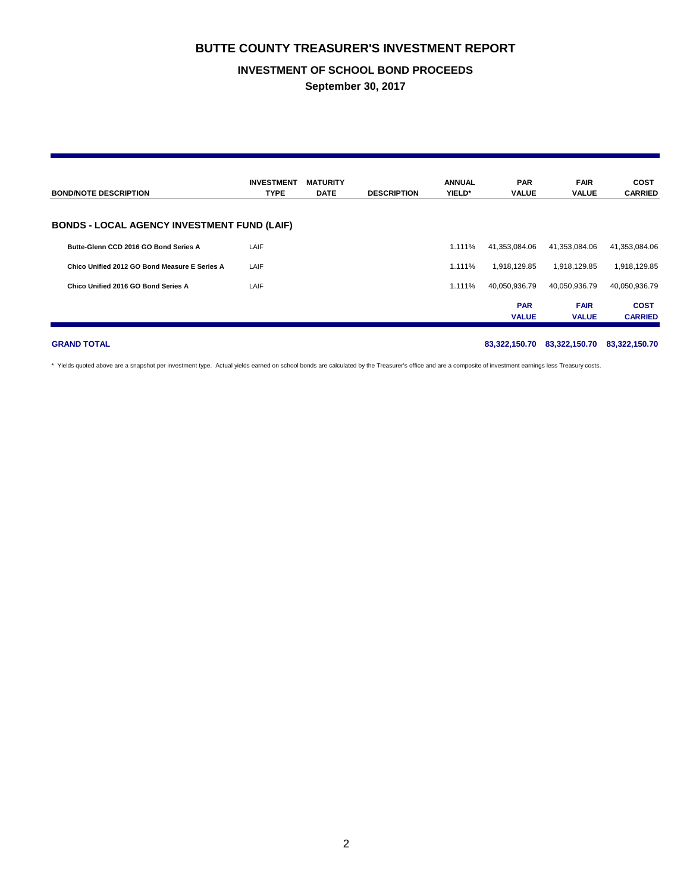### **INVESTMENT OF SCHOOL BOND PROCEEDS**

**September 30, 2017**

| <b>BOND/NOTE DESCRIPTION</b>                       | <b>INVESTMENT</b><br><b>TYPE</b> | <b>MATURITY</b><br><b>DATE</b> | <b>DESCRIPTION</b> | <b>ANNUAL</b><br>YIELD* | <b>PAR</b><br><b>VALUE</b> | <b>FAIR</b><br><b>VALUE</b> | <b>COST</b><br><b>CARRIED</b> |
|----------------------------------------------------|----------------------------------|--------------------------------|--------------------|-------------------------|----------------------------|-----------------------------|-------------------------------|
| <b>BONDS - LOCAL AGENCY INVESTMENT FUND (LAIF)</b> |                                  |                                |                    |                         |                            |                             |                               |
| Butte-Glenn CCD 2016 GO Bond Series A              | LAIF                             |                                |                    | 1.111%                  | 41,353,084.06              | 41,353,084.06               | 41,353,084.06                 |
| Chico Unified 2012 GO Bond Measure E Series A      | LAIF                             |                                |                    | 1.111%                  | 1.918.129.85               | 1,918,129.85                | 1,918,129.85                  |
| Chico Unified 2016 GO Bond Series A                | LAIF                             |                                |                    | 1.111%                  | 40.050.936.79              | 40,050,936.79               | 40,050,936.79                 |
|                                                    |                                  |                                |                    |                         | <b>PAR</b><br><b>VALUE</b> | <b>FAIR</b><br><b>VALUE</b> | <b>COST</b><br><b>CARRIED</b> |

**GRAND TOTAL 83,322,150.70 83,322,150.70 83,322,150.70**

\* Yields quoted above are a snapshot per investment type. Actual yields earned on school bonds are calculated by the Treasurer's office and are a composite of investment earnings less Treasury costs.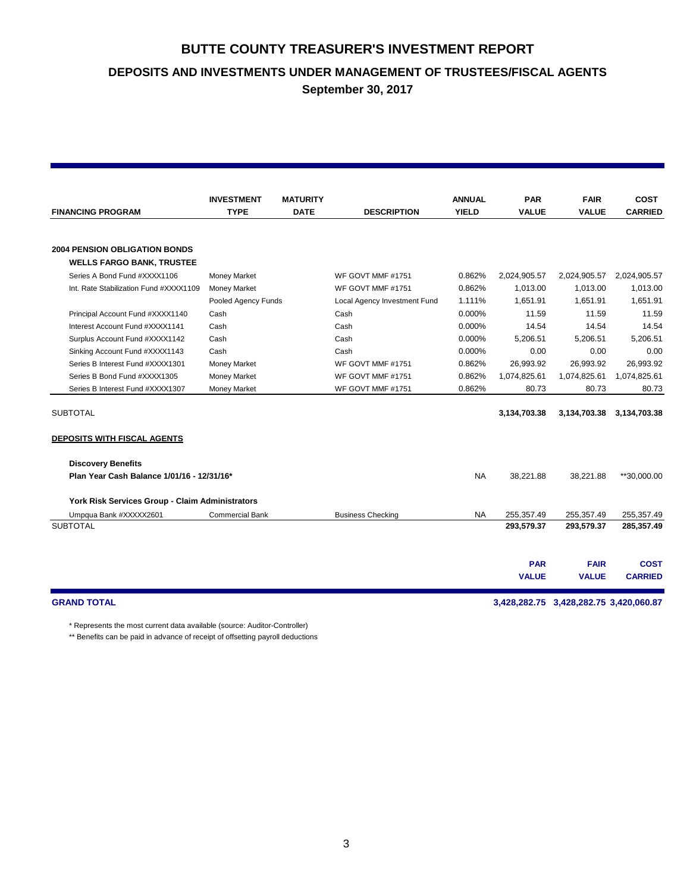**DEPOSITS AND INVESTMENTS UNDER MANAGEMENT OF TRUSTEES/FISCAL AGENTS**

**September 30, 2017**

|                                                 | <b>INVESTMENT</b>      | <b>MATURITY</b> |                              | <b>ANNUAL</b> | <b>PAR</b>   | <b>FAIR</b>                            | <b>COST</b>    |  |
|-------------------------------------------------|------------------------|-----------------|------------------------------|---------------|--------------|----------------------------------------|----------------|--|
| <b>FINANCING PROGRAM</b>                        | <b>TYPE</b>            | <b>DATE</b>     | <b>DESCRIPTION</b>           | <b>YIELD</b>  | <b>VALUE</b> | <b>VALUE</b>                           | <b>CARRIED</b> |  |
|                                                 |                        |                 |                              |               |              |                                        |                |  |
| <b>2004 PENSION OBLIGATION BONDS</b>            |                        |                 |                              |               |              |                                        |                |  |
| <b>WELLS FARGO BANK, TRUSTEE</b>                |                        |                 |                              |               |              |                                        |                |  |
| Series A Bond Fund #XXXX1106                    | <b>Money Market</b>    |                 | WF GOVT MMF #1751            | 0.862%        | 2,024,905.57 | 2,024,905.57                           | 2,024,905.57   |  |
| Int. Rate Stabilization Fund #XXXX1109          | <b>Money Market</b>    |                 | WF GOVT MMF #1751            | 0.862%        | 1.013.00     | 1.013.00                               | 1,013.00       |  |
|                                                 | Pooled Agency Funds    |                 | Local Agency Investment Fund | 1.111%        | 1.651.91     | 1,651.91                               | 1,651.91       |  |
| Principal Account Fund #XXXX1140                | Cash                   |                 | Cash                         | 0.000%        | 11.59        | 11.59                                  | 11.59          |  |
| Interest Account Fund #XXXX1141                 | Cash                   |                 | Cash                         | 0.000%        | 14.54        | 14.54                                  | 14.54          |  |
| Surplus Account Fund #XXXX1142                  | Cash                   |                 | Cash                         | 0.000%        | 5,206.51     | 5,206.51                               | 5,206.51       |  |
| Sinking Account Fund #XXXX1143                  | Cash                   |                 | Cash                         | 0.000%        | 0.00         | 0.00                                   | 0.00           |  |
| Series B Interest Fund #XXXX1301                | <b>Money Market</b>    |                 | WF GOVT MMF #1751            | 0.862%        | 26,993.92    | 26,993.92                              | 26,993.92      |  |
| Series B Bond Fund #XXXX1305                    | <b>Money Market</b>    |                 | WF GOVT MMF #1751            | 0.862%        | 1,074,825.61 | 1,074,825.61                           | 1,074,825.61   |  |
| Series B Interest Fund #XXXX1307                | <b>Money Market</b>    |                 | WF GOVT MMF #1751            | 0.862%        | 80.73        | 80.73                                  | 80.73          |  |
|                                                 |                        |                 |                              |               |              |                                        |                |  |
| <b>SUBTOTAL</b>                                 |                        |                 |                              |               | 3,134,703.38 | 3,134,703.38                           | 3,134,703.38   |  |
| <b>DEPOSITS WITH FISCAL AGENTS</b>              |                        |                 |                              |               |              |                                        |                |  |
| <b>Discovery Benefits</b>                       |                        |                 |                              |               |              |                                        |                |  |
| Plan Year Cash Balance 1/01/16 - 12/31/16*      |                        |                 |                              | <b>NA</b>     | 38,221.88    | 38,221.88                              | **30,000.00    |  |
| York Risk Services Group - Claim Administrators |                        |                 |                              |               |              |                                        |                |  |
| Umpqua Bank #XXXXX2601                          | <b>Commercial Bank</b> |                 | <b>Business Checking</b>     | <b>NA</b>     | 255,357.49   | 255,357.49                             | 255,357.49     |  |
| <b>SUBTOTAL</b>                                 |                        |                 |                              |               | 293,579.37   | 293,579.37                             | 285,357.49     |  |
|                                                 |                        |                 |                              |               |              |                                        |                |  |
|                                                 |                        |                 |                              |               | <b>PAR</b>   | <b>FAIR</b>                            | <b>COST</b>    |  |
|                                                 |                        |                 |                              |               | <b>VALUE</b> | <b>VALUE</b>                           | <b>CARRIED</b> |  |
| <b>GRAND TOTAL</b>                              |                        |                 |                              |               |              | 3,428,282.75 3,428,282.75 3,420,060.87 |                |  |
|                                                 |                        |                 |                              |               |              |                                        |                |  |

\* Represents the most current data available (source: Auditor-Controller)

\*\* Benefits can be paid in advance of receipt of offsetting payroll deductions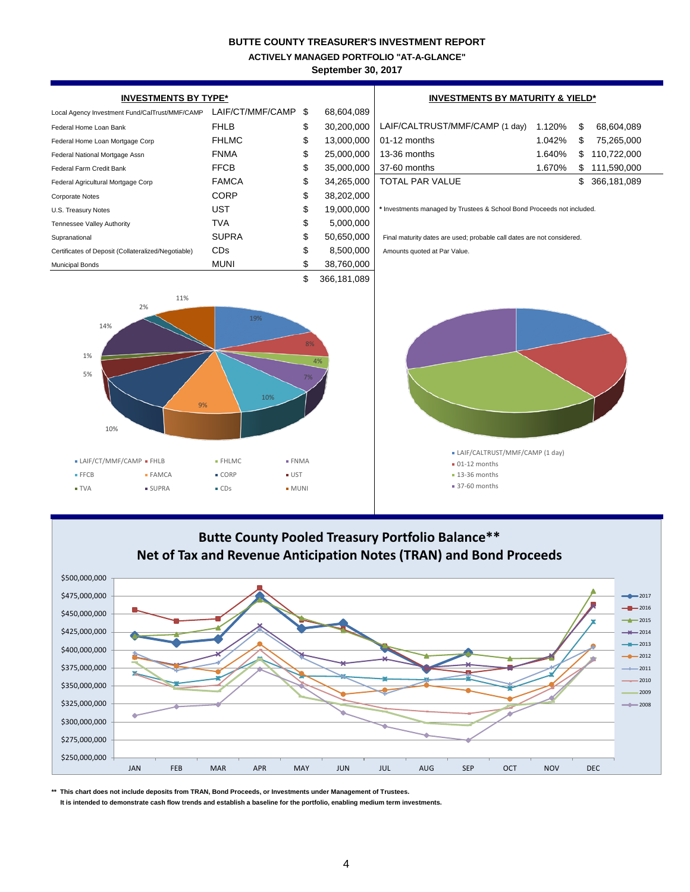**ACTIVELY MANAGED PORTFOLIO "AT-A-GLANCE"**

**September 30, 2017**

| <b>INVESTMENTS BY TYPE*</b>                                                                                               | <b>INVESTMENTS BY MATURITY &amp; YIELD*</b>                                                     |                               |            |                                                                                                                               |        |    |                                                                           |
|---------------------------------------------------------------------------------------------------------------------------|-------------------------------------------------------------------------------------------------|-------------------------------|------------|-------------------------------------------------------------------------------------------------------------------------------|--------|----|---------------------------------------------------------------------------|
| Local Agency Investment Fund/CalTrust/MMF/CAMP                                                                            | LAIF/CT/MMF/CAMP                                                                                | \$                            | 68,604,089 |                                                                                                                               |        |    |                                                                           |
| Federal Home Loan Bank                                                                                                    | <b>FHLB</b>                                                                                     | \$                            | 30,200,000 | LAIF/CALTRUST/MMF/CAMP (1 day)                                                                                                | 1.120% | \$ | 68,604,089                                                                |
| Federal Home Loan Mortgage Corp                                                                                           | <b>FHLMC</b>                                                                                    | \$                            | 13,000,000 | 01-12 months                                                                                                                  | 1.042% | \$ | 75,265,000                                                                |
| Federal National Mortgage Assn                                                                                            | <b>FNMA</b>                                                                                     | \$                            | 25,000,000 | 13-36 months                                                                                                                  | 1.640% | \$ | 110,722,000                                                               |
| Federal Farm Credit Bank                                                                                                  | <b>FFCB</b>                                                                                     | \$                            | 35,000,000 | 37-60 months                                                                                                                  | 1.670% | \$ | 111,590,000                                                               |
| Federal Agricultural Mortgage Corp                                                                                        | <b>FAMCA</b>                                                                                    | \$                            | 34,265,000 | TOTAL PAR VALUE                                                                                                               |        | \$ | 366,181,089                                                               |
| <b>Corporate Notes</b>                                                                                                    | <b>CORP</b>                                                                                     | \$                            | 38,202,000 |                                                                                                                               |        |    |                                                                           |
| U.S. Treasury Notes                                                                                                       | <b>UST</b>                                                                                      | \$                            | 19,000,000 | * Investments managed by Trustees & School Bond Proceeds not included.                                                        |        |    |                                                                           |
| Tennessee Valley Authority                                                                                                | <b>TVA</b>                                                                                      | \$                            | 5,000,000  |                                                                                                                               |        |    |                                                                           |
| Supranational                                                                                                             | <b>SUPRA</b>                                                                                    | \$                            | 50,650,000 | Final maturity dates are used; probable call dates are not considered.                                                        |        |    |                                                                           |
| Certificates of Deposit (Collateralized/Negotiable)                                                                       | CDs                                                                                             | \$                            | 8,500,000  | Amounts quoted at Par Value.                                                                                                  |        |    |                                                                           |
| <b>Municipal Bonds</b>                                                                                                    | <b>MUNI</b>                                                                                     | \$                            | 38,760,000 |                                                                                                                               |        |    |                                                                           |
| 11%<br>2%<br>14%<br>1%<br>5%<br>9%<br>10%<br>• LAIF/CT/MMF/CAMP • FHLB<br>FFCB<br>$- FAMCA$<br><b>TVA</b><br><b>SUPRA</b> | 19%<br>10%<br><b>- FHLMC</b><br>$\blacksquare$ CORP<br>$\blacksquare$ UST<br>$\blacksquare$ CDs | 8%<br>7%<br>· FNMA<br>$-MUNI$ | 4%         | • LAIF/CALTRUST/MMF/CAMP (1 day)<br>■ 01-12 months<br>$\blacksquare$ 13-36 months<br>37-60 months                             |        |    |                                                                           |
| \$500,000,000<br>\$475,000,000<br>\$450,000,000<br>\$425,000,000<br>\$400,000,000<br>\$375,000,000                        |                                                                                                 |                               |            | <b>Butte County Pooled Treasury Portfolio Balance**</b><br>Net of Tax and Revenue Anticipation Notes (TRAN) and Bond Proceeds |        |    | $-2017$<br>$-2016$<br>2015<br>$+ 2014$<br>$-$ 2013<br>$-2012$<br>$+ 2011$ |

2010 \$350,000,000 2009 \$325,000,000  $2008$ ò \$300,000,000 \$275,000,000 \$250,000,000 JAN FEB MAR APR MAY JUN JUL AUG SEP OCT NOV DEC

**\*\* This chart does not include deposits from TRAN, Bond Proceeds, or Investments under Management of Trustees. It is intended to demonstrate cash flow trends and establish a baseline for the portfolio, enabling medium term investments.**